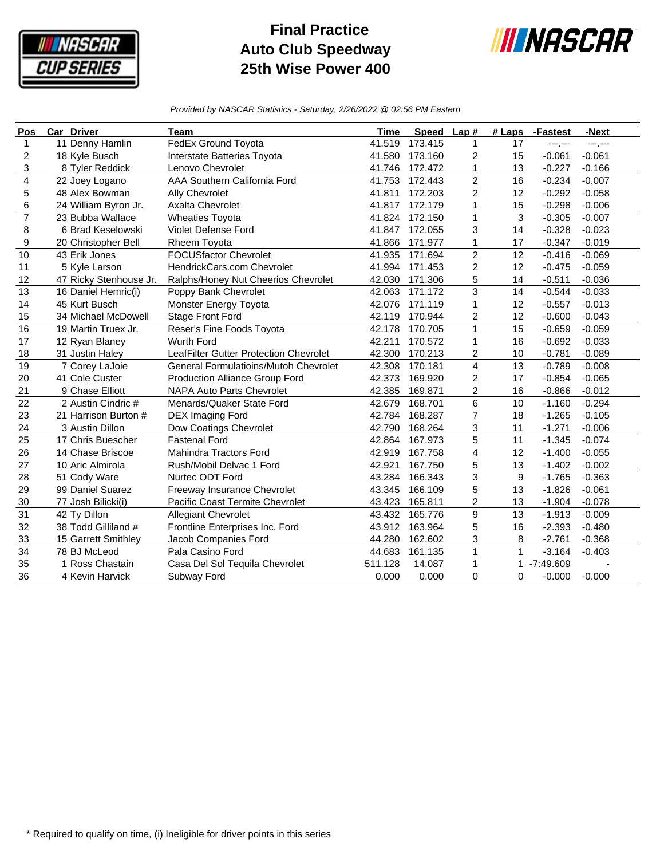

## **Final Practice Auto Club Speedway 25th Wise Power 400**



*Provided by NASCAR Statistics - Saturday, 2/26/2022 @ 02:56 PM Eastern*

| Pos            | <b>Car Driver</b>      | <b>Team</b>                            | <b>Time</b> | <b>Speed</b>   | Lap#             | $#$ Laps     | -Fastest    | -Next    |
|----------------|------------------------|----------------------------------------|-------------|----------------|------------------|--------------|-------------|----------|
| $\mathbf{1}$   | 11 Denny Hamlin        | FedEx Ground Toyota                    | 41.519      | 173.415        | $\mathbf 1$      | 17           | ---;---     | -------  |
| $\overline{c}$ | 18 Kyle Busch          | Interstate Batteries Toyota            | 41.580      | 173.160        | $\boldsymbol{2}$ | 15           | $-0.061$    | $-0.061$ |
| 3              | 8 Tyler Reddick        | Lenovo Chevrolet                       | 41.746      | 172.472        | $\mathbf{1}$     | 13           | $-0.227$    | $-0.166$ |
| 4              | 22 Joey Logano         | AAA Southern California Ford           | 41.753      | 172.443        | $\overline{2}$   | 16           | $-0.234$    | $-0.007$ |
| 5              | 48 Alex Bowman         | Ally Chevrolet                         | 41.811      | 172.203        | $\overline{2}$   | 12           | $-0.292$    | $-0.058$ |
| 6              | 24 William Byron Jr.   | Axalta Chevrolet                       | 41.817      | 172.179        | 1                | 15           | $-0.298$    | $-0.006$ |
| $\overline{7}$ | 23 Bubba Wallace       | <b>Wheaties Toyota</b>                 | 41.824      | 172.150        | $\mathbf{1}$     | 3            | $-0.305$    | $-0.007$ |
| 8              | 6 Brad Keselowski      | Violet Defense Ford                    | 41.847      | 172.055        | 3                | 14           | $-0.328$    | $-0.023$ |
| 9              | 20 Christopher Bell    | <b>Rheem Toyota</b>                    | 41.866      | 171.977        | $\mathbf{1}$     | 17           | $-0.347$    | $-0.019$ |
| 10             | 43 Erik Jones          | <b>FOCUSfactor Chevrolet</b>           | 41.935      | 171.694        | $\overline{2}$   | 12           | $-0.416$    | $-0.069$ |
| 11             | 5 Kyle Larson          | HendrickCars.com Chevrolet             | 41.994      | 171.453        | $\overline{c}$   | 12           | $-0.475$    | $-0.059$ |
| 12             | 47 Ricky Stenhouse Jr. | Ralphs/Honey Nut Cheerios Chevrolet    | 42.030      | 171.306        | 5                | 14           | $-0.511$    | $-0.036$ |
| 13             | 16 Daniel Hemric(i)    | Poppy Bank Chevrolet                   | 42.063      | 171.172        | 3                | 14           | $-0.544$    | $-0.033$ |
| 14             | 45 Kurt Busch          | Monster Energy Toyota                  | 42.076      | 171.119        | 1                | 12           | $-0.557$    | $-0.013$ |
| 15             | 34 Michael McDowell    | <b>Stage Front Ford</b>                | 42.119      | 170.944        | $\boldsymbol{2}$ | 12           | $-0.600$    | $-0.043$ |
| 16             | 19 Martin Truex Jr.    | Reser's Fine Foods Toyota              | 42.178      | 170.705        | $\mathbf{1}$     | 15           | $-0.659$    | $-0.059$ |
| 17             | 12 Ryan Blaney         | Wurth Ford                             | 42.211      | 170.572        | 1                | 16           | $-0.692$    | $-0.033$ |
| 18             | 31 Justin Haley        | LeafFilter Gutter Protection Chevrolet | 42.300      | 170.213        | $\overline{c}$   | 10           | $-0.781$    | $-0.089$ |
| 19             | 7 Corey LaJoie         | General Formulatioins/Mutoh Chevrolet  | 42.308      | 170.181        | 4                | 13           | $-0.789$    | $-0.008$ |
| 20             | 41 Cole Custer         | Production Alliance Group Ford         | 42.373      | 169.920        | $\overline{c}$   | 17           | $-0.854$    | $-0.065$ |
| 21             | 9 Chase Elliott        | NAPA Auto Parts Chevrolet              | 42.385      | 169.871        | $\overline{c}$   | 16           | $-0.866$    | $-0.012$ |
| 22             | 2 Austin Cindric #     | Menards/Quaker State Ford              | 42.679      | 168.701        | 6                | 10           | $-1.160$    | $-0.294$ |
| 23             | 21 Harrison Burton #   | DEX Imaging Ford                       | 42.784      | 168.287        | 7                | 18           | $-1.265$    | $-0.105$ |
| 24             | 3 Austin Dillon        | Dow Coatings Chevrolet                 | 42.790      | 168.264        | 3                | 11           | $-1.271$    | $-0.006$ |
| 25             | 17 Chris Buescher      | <b>Fastenal Ford</b>                   | 42.864      | 167.973        | $\overline{5}$   | 11           | $-1.345$    | $-0.074$ |
| 26             | 14 Chase Briscoe       | <b>Mahindra Tractors Ford</b>          | 42.919      | 167.758        | 4                | 12           | $-1.400$    | $-0.055$ |
| 27             | 10 Aric Almirola       | Rush/Mobil Delvac 1 Ford               | 42.921      | 167.750        | 5                | 13           | $-1.402$    | $-0.002$ |
| 28             | 51 Cody Ware           | Nurtec ODT Ford                        | 43.284      | 166.343        | 3                | 9            | $-1.765$    | $-0.363$ |
| 29             | 99 Daniel Suarez       | Freeway Insurance Chevrolet            | 43.345      | 166.109        | 5                | 13           | $-1.826$    | $-0.061$ |
| 30             | 77 Josh Bilicki(i)     | Pacific Coast Termite Chevrolet        | 43.423      | 165.811        | $\overline{2}$   | 13           | $-1.904$    | $-0.078$ |
| 31             | 42 Ty Dillon           | <b>Allegiant Chevrolet</b>             | 43.432      | 165.776        | 9                | 13           | $-1.913$    | $-0.009$ |
| 32             | 38 Todd Gilliland #    | Frontline Enterprises Inc. Ford        |             | 43.912 163.964 | 5                | 16           | $-2.393$    | $-0.480$ |
| 33             | 15 Garrett Smithley    | Jacob Companies Ford                   | 44.280      | 162.602        | 3                | 8            | $-2.761$    | $-0.368$ |
| 34             | 78 BJ McLeod           | Pala Casino Ford                       | 44.683      | 161.135        | $\mathbf{1}$     | $\mathbf{1}$ | $-3.164$    | $-0.403$ |
| 35             | 1 Ross Chastain        | Casa Del Sol Tequila Chevrolet         | 511.128     | 14.087         | 1                | 1            | $-7:49.609$ |          |
| 36             | 4 Kevin Harvick        | Subway Ford                            | 0.000       | 0.000          | 0                | 0            | $-0.000$    | $-0.000$ |
|                |                        |                                        |             |                |                  |              |             |          |